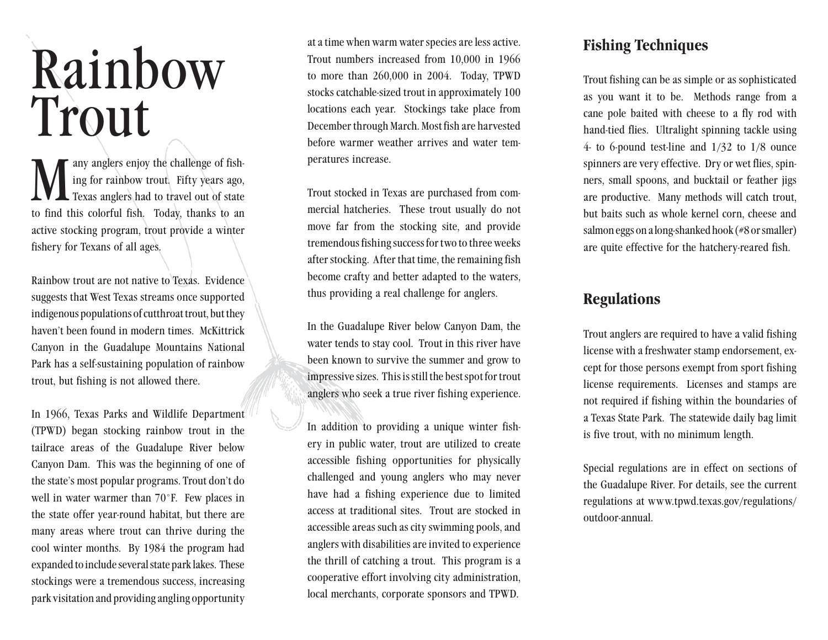# Rainbow Trout

Many anglers enjoy the challenge of fish-<br>ing for rainbow trout. Fifty years ago,<br>rexas anglers had to travel out of state<br>to find this colorful fish. Today, thanks to an ing for rainbow trout. Fifty years ago, Texas anglers had to travel out of state to find this colorful fish. Today, thanks to an active stocking program, trout provide a winter fishery for Texans of all ages.

Rainbow trout are not native to Texas. Evidence suggests that West Texas streams once supported indigenous populations of cutthroat trout, but they haven't been found in modern times. McKittrick Canyon in the Guadalupe Mountains National Park has a self-sustaining population of rainbow trout, but fishing is not allowed there.

In 1966, Texas Parks and Wildlife Department (TPWD) began stocking rainbow trout in the tailrace areas of the Guadalupe River below Canyon Dam. This was the beginning of one of the state's most popular programs. Trout don't do well in water warmer than 70°F. Few places in the state offer year-round habitat, but there are many areas where trout can thrive during the cool winter months. By 1984 the program had expanded to include several state park lakes. These stockings were a tremendous success, increasing park visitation and providing angling opportunity

at a time when warm water species are less active. Trout numbers increased from 10,000 in 1966 to more than 260,000 in 2004. Today, TPWD stocks catchable-sized trout in approximately 100 locations each year. Stockings take place from December through March. Most fish are harvested before warmer weather arrives and water temperatures increase.

Trout stocked in Texas are purchased from commercial hatcheries. These trout usually do not move far from the stocking site, and provide tremendous fishing success for two to three weeks after stocking. After that time, the remaining fish become crafty and better adapted to the waters, thus providing a real challenge for anglers.

In the Guadalupe River below Canyon Dam, the water tends to stay cool. Trout in this river have been known to survive the summer and grow to impressive sizes. This is still the best spot for trout anglers who seek a true river fishing experience.

In addition to providing a unique winter fishery in public water, trout are utilized to create accessible fishing opportunities for physically challenged and young anglers who may never have had a fishing experience due to limited access at traditional sites. Trout are stocked in accessible areas such as city swimming pools, and anglers with disabilities are invited to experience the thrill of catching a trout. This program is a cooperative effort involving city administration, local merchants, corporate sponsors and TPWD.

#### **Fishing Techniques**

Trout fishing can be as simple or as sophisticated as you want it to be. Methods range from a cane pole baited with cheese to a fly rod with hand-tied flies. Ultralight spinning tackle using 4- to 6-pound test-line and 1/32 to 1/8 ounce spinners are very effective. Dry or wet flies, spinners, small spoons, and bucktail or feather jigs are productive. Many methods will catch trout, but baits such as whole kernel corn, cheese and salmon eggs on a long-shanked hook (#8 or smaller) are quite effective for the hatchery-reared fish.

## **Regulations**

Trout anglers are required to have a valid fishing license with a freshwater stamp endorsement, except for those persons exempt from sport fishing license requirements. Licenses and stamps are not required if fishing within the boundaries of a Texas State Park. The statewide daily bag limit is five trout, with no minimum length.

Special regulations are in effect on sections of the Guadalupe River. For details, see the current regulations at [www.tpwd.texas.gov/regulations/](www.tpwd.texas.gov/regulations/outdoor-annual) [outdoor-annual](www.tpwd.texas.gov/regulations/outdoor-annual).